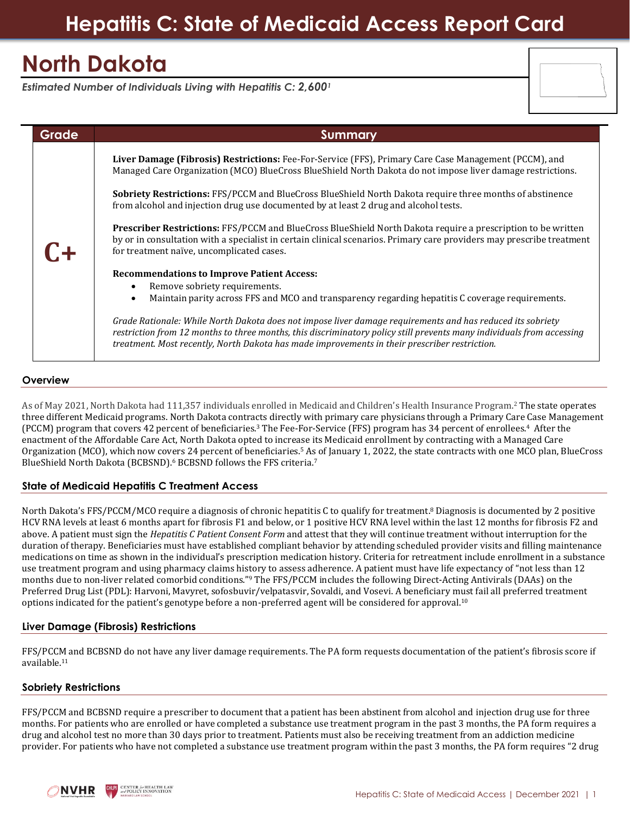## **Hepatitis C: State of Medicaid Access Report Card**

# **North Dakota**

*Estimated Number of Individuals Living with Hepatitis C: 2,600<sup>1</sup>*

| <b>Grade</b> | <b>Summary</b>                                                                                                                                                                                                                                                                                                                       |
|--------------|--------------------------------------------------------------------------------------------------------------------------------------------------------------------------------------------------------------------------------------------------------------------------------------------------------------------------------------|
|              | Liver Damage (Fibrosis) Restrictions: Fee-For-Service (FFS), Primary Care Case Management (PCCM), and<br>Managed Care Organization (MCO) BlueCross BlueShield North Dakota do not impose liver damage restrictions.                                                                                                                  |
| $C+$         | <b>Sobriety Restrictions:</b> FFS/PCCM and BlueCross BlueShield North Dakota require three months of abstinence<br>from alcohol and injection drug use documented by at least 2 drug and alcohol tests.                                                                                                                              |
|              | Prescriber Restrictions: FFS/PCCM and BlueCross BlueShield North Dakota require a prescription to be written<br>by or in consultation with a specialist in certain clinical scenarios. Primary care providers may prescribe treatment<br>for treatment naïve, uncomplicated cases.                                                   |
|              | <b>Recommendations to Improve Patient Access:</b><br>Remove sobriety requirements.<br>$\bullet$<br>Maintain parity across FFS and MCO and transparency regarding hepatitis C coverage requirements.<br>$\bullet$                                                                                                                     |
|              | Grade Rationale: While North Dakota does not impose liver damage requirements and has reduced its sobriety<br>restriction from 12 months to three months, this discriminatory policy still prevents many individuals from accessing<br>treatment. Most recently, North Dakota has made improvements in their prescriber restriction. |

### **Overview**

As of May 2021, North Dakota had 111,357 individuals enrolled in Medicaid and Children's Health Insurance Program.<sup>2</sup> The state operates three different Medicaid programs. North Dakota contracts directly with primary care physicians through a Primary Care Case Management (PCCM) program that covers 42 percent of beneficiaries.<sup>3</sup> The Fee-For-Service (FFS) program has 34 percent of enrollees.<sup>4</sup> After the enactment of the Affordable Care Act, North Dakota opted to increase its Medicaid enrollment by contracting with a Managed Care Organization (MCO), which now covers 24 percent of beneficiaries.<sup>5</sup> As of January 1, 2022, the state contracts with one MCO plan, BlueCross BlueShield North Dakota (BCBSND).<sup>6</sup> BCBSND follows the FFS criteria.<sup>7</sup>

## **State of Medicaid Hepatitis C Treatment Access**

North Dakota's FFS/PCCM/MCO require a diagnosis of chronic hepatitis C to qualify for treatment.<sup>8</sup> Diagnosis is documented by 2 positive HCV RNA levels at least 6 months apart for fibrosis F1 and below, or 1 positive HCV RNA level within the last 12 months for fibrosis F2 and above. A patient must sign the *Hepatitis C Patient Consent Form* and attest that they will continue treatment without interruption for the duration of therapy. Beneficiaries must have established compliant behavior by attending scheduled provider visits and filling maintenance medications on time as shown in the individual's prescription medication history. Criteria for retreatment include enrollment in a substance use treatment program and using pharmacy claims history to assess adherence. A patient must have life expectancy of "not less than 12 months due to non-liver related comorbid conditions."<sup>9</sup> The FFS/PCCM includes the following Direct-Acting Antivirals (DAAs) on the Preferred Drug List (PDL): Harvoni, Mavyret, sofosbuvir/velpatasvir, Sovaldi, and Vosevi. A beneficiary must fail all preferred treatment options indicated for the patient's genotype before a non-preferred agent will be considered for approval.<sup>10</sup>

## **Liver Damage (Fibrosis) Restrictions**

FFS/PCCM and BCBSND do not have any liver damage requirements. The PA form requests documentation of the patient's fibrosis score if available.<sup>11</sup>

## **Sobriety Restrictions**

FFS/PCCM and BCBSND require a prescriber to document that a patient has been abstinent from alcohol and injection drug use for three months. For patients who are enrolled or have completed a substance use treatment program in the past 3 months, the PA form requires a drug and alcohol test no more than 30 days prior to treatment. Patients must also be receiving treatment from an addiction medicine provider. For patients who have not completed a substance use treatment program within the past 3 months, the PA form requires "2 drug